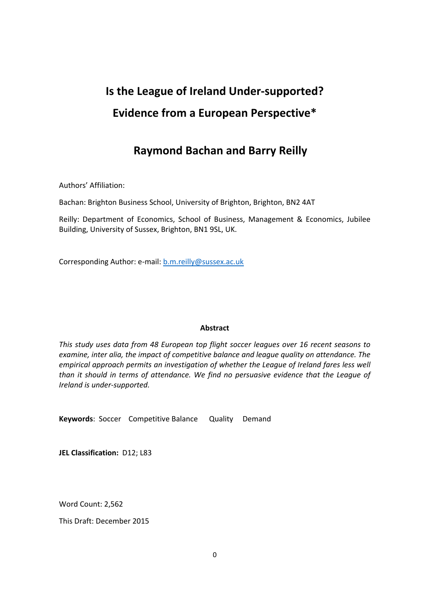# **Is the League of Ireland Under-supported? Evidence from a European Perspective\***

# **Raymond Bachan and Barry Reilly**

Authors' Affiliation:

Bachan: Brighton Business School, University of Brighton, Brighton, BN2 4AT

Reilly: Department of Economics, School of Business, Management & Economics, Jubilee Building, University of Sussex, Brighton, BN1 9SL, UK.

Corresponding Author: e-mail: b.m.reilly@sussex.ac.uk

#### **Abstract**

*This study uses data from 48 European top flight soccer leagues over 16 recent seasons to examine, inter alia, the impact of competitive balance and league quality on attendance. The empirical approach permits an investigation of whether the League of Ireland fares less well than it should in terms of attendance. We find no persuasive evidence that the League of*  $I$ *reland is under-supported.* 

Keywords: Soccer Competitive Balance Quality Demand

**JEL Classification:** D12; L83

Word Count: 2,562

This Draft: December 2015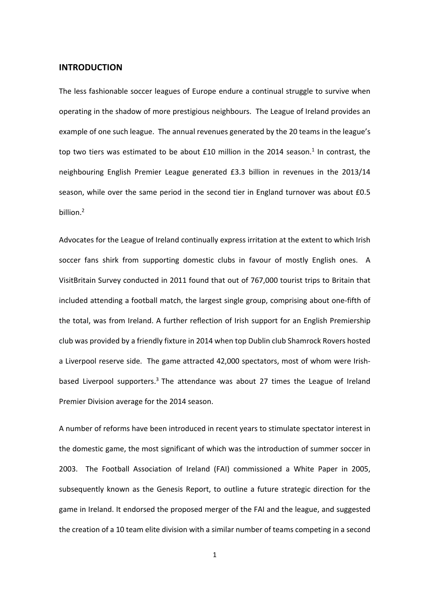#### **INTRODUCTION**

The less fashionable soccer leagues of Europe endure a continual struggle to survive when operating in the shadow of more prestigious neighbours.The League of Ireland provides an example of one such league. The annual revenues generated by the 20 teams in the league's top two tiers was estimated to be about £10 million in the 2014 season.<sup>1</sup> In contrast, the neighbouring English Premier League generated £3.3 billion in revenues in the 2013/14 season, while over the same period in the second tier in England turnover was about £0.5 billion.<sup>2</sup>

Advocates for the League of Ireland continually express irritation at the extent to which Irish soccer fans shirk from supporting domestic clubs in favour of mostly English ones. A VisitBritain Survey conducted in 2011 found that out of 767,000 tourist trips to Britain that included attending a football match, the largest single group, comprising about one-fifth of the total, was from Ireland. A further reflection of Irish support for an English Premiership club was provided by a friendly fixture in 2014 when top Dublin club Shamrock Rovers hosted a Liverpool reserve side. The game attracted 42,000 spectators, most of whom were Irishbased Liverpool supporters.<sup>3</sup> The attendance was about 27 times the League of Ireland Premier Division average for the 2014 season.

A number of reforms have been introduced in recent years to stimulate spectator interest in the domestic game, the most significant of which was the introduction of summer soccer in 2003. The Football Association of Ireland (FAI) commissioned a White Paper in 2005, subsequently known as the Genesis Report, to outline a future strategic direction for the game in Ireland. It endorsed the proposed merger of the FAI and the league, and suggested the creation of a 10 team elite division with a similar number of teams competing in a second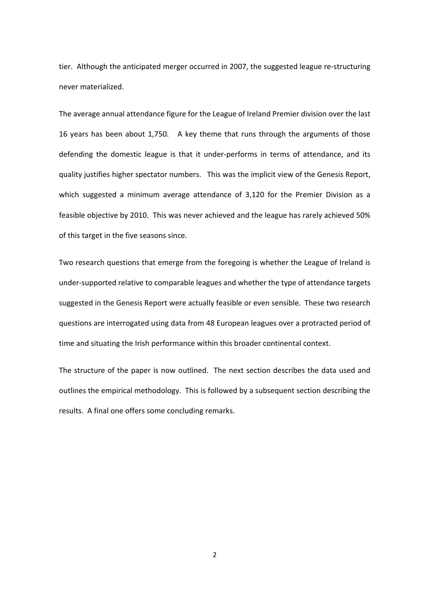tier. Although the anticipated merger occurred in 2007, the suggested league re-structuring never materialized.

The average annual attendance figure for the League of Ireland Premier division over the last 16 years has been about 1,750. A key theme that runs through the arguments of those defending the domestic league is that it under-performs in terms of attendance, and its quality justifies higher spectator numbers. This was the implicit view of the Genesis Report, which suggested a minimum average attendance of 3,120 for the Premier Division as a feasible objective by 2010. This was never achieved and the league has rarely achieved 50% of this target in the five seasons since.

Two research questions that emerge from the foregoing is whether the League of Ireland is under-supported relative to comparable leagues and whether the type of attendance targets suggested in the Genesis Report were actually feasible or even sensible. These two research questions are interrogated using data from 48 European leagues over a protracted period of time and situating the Irish performance within this broader continental context.

The structure of the paper is now outlined. The next section describes the data used and outlines the empirical methodology. This is followed by a subsequent section describing the results. A final one offers some concluding remarks.

2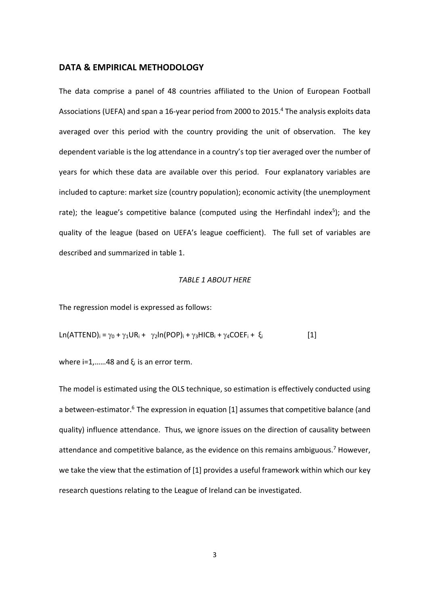#### **DATA & EMPIRICAL METHODOLOGY**

The data comprise a panel of 48 countries affiliated to the Union of European Football Associations (UEFA) and span a 16-year period from 2000 to 2015.<sup>4</sup> The analysis exploits data averaged over this period with the country providing the unit of observation. The key dependent variable is the log attendance in a country's top tier averaged over the number of years for which these data are available over this period. Four explanatory variables are included to capture: market size (country population); economic activity (the unemployment rate); the league's competitive balance (computed using the Herfindahl index<sup>5</sup>); and the quality of the league (based on UEFA's league coefficient). The full set of variables are described and summarized in table 1.

#### *TABLE 1 ABOUT HERE*

The regression model is expressed as follows:

$$
Ln(ATTEND)i = \gamma_0 + \gamma_1 UR_i + \gamma_2 ln(POP)i + \gamma_3 HICB_i + \gamma_4 COEF_i + \xi_i
$$
 [1]

where i=1,......48 and  $\xi_i$  is an error term.

The model is estimated using the OLS technique, so estimation is effectively conducted using a between-estimator.<sup>6</sup> The expression in equation [1] assumes that competitive balance (and quality) influence attendance. Thus, we ignore issues on the direction of causality between attendance and competitive balance, as the evidence on this remains ambiguous.<sup>7</sup> However, we take the view that the estimation of [1] provides a useful framework within which our key research questions relating to the League of Ireland can be investigated.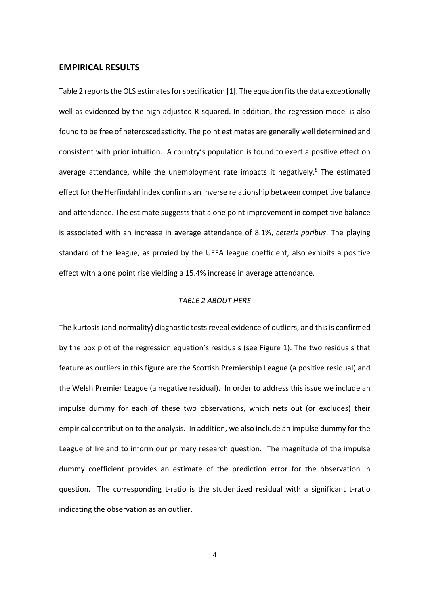#### **EMPIRICAL RESULTS**

Table 2 reports the OLS estimates for specification [1]. The equation fits the data exceptionally well as evidenced by the high adjusted-R-squared. In addition, the regression model is also found to be free of heteroscedasticity. The point estimates are generally well determined and consistent with prior intuition. A country's population is found to exert a positive effect on average attendance, while the unemployment rate impacts it negatively.<sup>8</sup> The estimated effect for the Herfindahl index confirms an inverse relationship between competitive balance and attendance. The estimate suggests that a one point improvement in competitive balance is associated with an increase in average attendance of 8.1%, *ceteris paribus*. The playing standard of the league, as proxied by the UEFA league coefficient, also exhibits a positive effect with a one point rise yielding a 15.4% increase in average attendance*.*

#### *TABLE 2 ABOUT HERE*

The kurtosis (and normality) diagnostic tests reveal evidence of outliers, and this is confirmed by the box plot of the regression equation's residuals (see Figure 1). The two residuals that feature as outliers in this figure are the Scottish Premiership League (a positive residual) and the Welsh Premier League (a negative residual). In order to address this issue we include an impulse dummy for each of these two observations, which nets out (or excludes) their empirical contribution to the analysis. In addition, we also include an impulse dummy for the League of Ireland to inform our primary research question. The magnitude of the impulse dummy coefficient provides an estimate of the prediction error for the observation in question. The corresponding t-ratio is the studentized residual with a significant t-ratio indicating the observation as an outlier.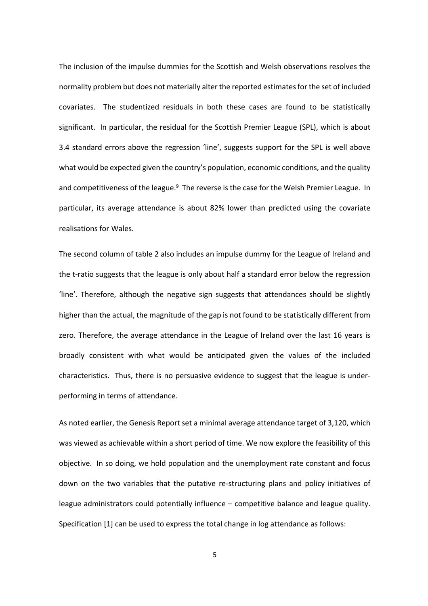The inclusion of the impulse dummies for the Scottish and Welsh observations resolves the normality problem but does not materially alter the reported estimatesfor the set of included covariates. The studentized residuals in both these cases are found to be statistically significant. In particular, the residual for the Scottish Premier League (SPL), which is about 3.4 standard errors above the regression 'line', suggests support for the SPL is well above what would be expected given the country's population, economic conditions, and the quality and competitiveness of the league.<sup>9</sup> The reverse is the case for the Welsh Premier League. In particular, its average attendance is about 82% lower than predicted using the covariate realisations for Wales.

The second column of table 2 also includes an impulse dummy for the League of Ireland and the t-ratio suggests that the league is only about half a standard error below the regression 'line'. Therefore, although the negative sign suggests that attendances should be slightly higher than the actual, the magnitude of the gap is not found to be statistically different from zero. Therefore, the average attendance in the League of Ireland over the last 16 years is broadly consistent with what would be anticipated given the values of the included characteristics. Thus, there is no persuasive evidence to suggest that the league is underperforming in terms of attendance.

As noted earlier, the Genesis Report set a minimal average attendance target of 3,120, which was viewed as achievable within a short period of time. We now explore the feasibility of this objective.In so doing, we hold population and the unemployment rate constant and focus down on the two variables that the putative re-structuring plans and policy initiatives of league administrators could potentially influence – competitive balance and league quality. Specification [1] can be used to express the total change in log attendance as follows:

5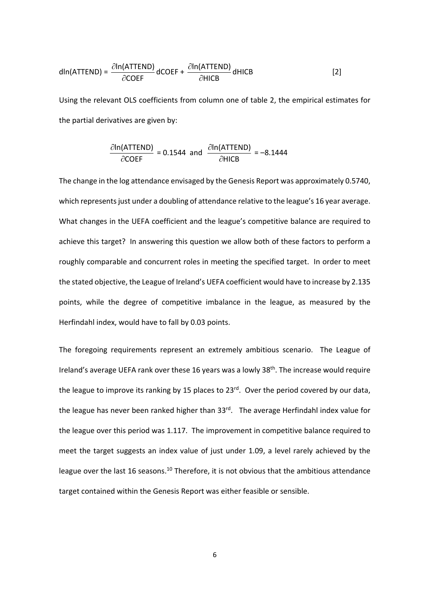$$
dln(ATTEND) = \frac{\partial ln(ATTEND)}{\partial COEF} dCOEF + \frac{\partial ln(ATTEND)}{\partial HICB} dHICB
$$
 [2]

Using the relevant OLS coefficients from column one of table 2, the empirical estimates for the partial derivatives are given by:

$$
\frac{\partial \ln(\text{ATTEND})}{\partial \text{COEF}} = 0.1544 \text{ and } \frac{\partial \ln(\text{ATTEND})}{\partial \text{HICB}} = -8.1444
$$

The change in the log attendance envisaged by the Genesis Report was approximately 0.5740, which represents just under a doubling of attendance relative to the league's 16 year average. What changes in the UEFA coefficient and the league's competitive balance are required to achieve this target? In answering this question we allow both of these factors to perform a roughly comparable and concurrent roles in meeting the specified target. In order to meet the stated objective, the League of Ireland's UEFA coefficient would have to increase by 2.135 points, while the degree of competitive imbalance in the league, as measured by the Herfindahl index, would have to fall by 0.03 points.

The foregoing requirements represent an extremely ambitious scenario. The League of Ireland's average UEFA rank over these 16 years was a lowly 38<sup>th</sup>. The increase would require the league to improve its ranking by 15 places to  $23^{rd}$ . Over the period covered by our data, the league has never been ranked higher than  $33^{rd}$ . The average Herfindahl index value for the league over this period was 1.117. The improvement in competitive balance required to meet the target suggests an index value of just under 1.09, a level rarely achieved by the league over the last 16 seasons.<sup>10</sup> Therefore, it is not obvious that the ambitious attendance target contained within the Genesis Report was either feasible or sensible.

6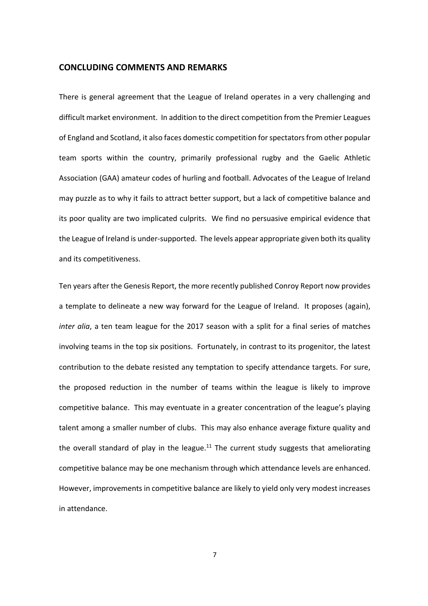#### **CONCLUDING COMMENTS AND REMARKS**

There is general agreement that the League of Ireland operates in a very challenging and difficult market environment. In addition to the direct competition from the Premier Leagues of England and Scotland, it also faces domestic competition for spectators from other popular team sports within the country, primarily professional rugby and the Gaelic Athletic Association (GAA) amateur codes of hurling and football. Advocates of the League of Ireland may puzzle as to why it fails to attract better support, but a lack of competitive balance and its poor quality are two implicated culprits. We find no persuasive empirical evidence that the League of Ireland is under-supported. The levels appear appropriate given both its quality and its competitiveness.

Ten years after the Genesis Report, the more recently published Conroy Report now provides a template to delineate a new way forward for the League of Ireland. It proposes (again), *inter alia*, a ten team league for the 2017 season with a split for a final series of matches involving teams in the top six positions. Fortunately, in contrast to its progenitor, the latest contribution to the debate resisted any temptation to specify attendance targets. For sure, the proposed reduction in the number of teams within the league is likely to improve competitive balance. This may eventuate in a greater concentration of the league's playing talent among a smaller number of clubs. This may also enhance average fixture quality and the overall standard of play in the league.<sup>11</sup> The current study suggests that ameliorating competitive balance may be one mechanism through which attendance levels are enhanced. However, improvements in competitive balance are likely to yield only very modest increases in attendance.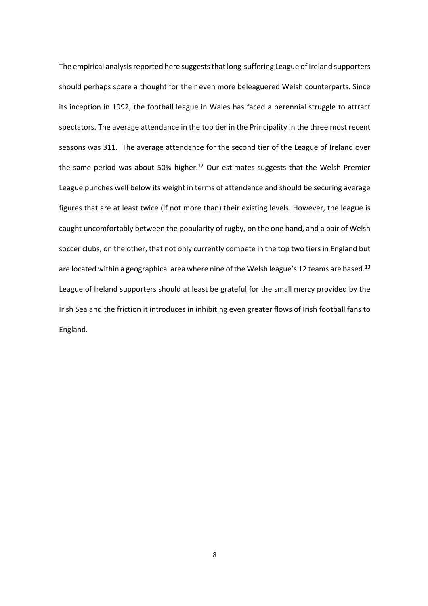The empirical analysis reported here suggests that long-suffering League of Ireland supporters should perhaps spare a thought for their even more beleaguered Welsh counterparts. Since its inception in 1992, the football league in Wales has faced a perennial struggle to attract spectators. The average attendance in the top tier in the Principality in the three most recent seasons was 311. The average attendance for the second tier of the League of Ireland over the same period was about 50% higher.<sup>12</sup> Our estimates suggests that the Welsh Premier League punches well below its weight in terms of attendance and should be securing average figures that are at least twice (if not more than) their existing levels. However, the league is caught uncomfortably between the popularity of rugby, on the one hand, and a pair of Welsh soccer clubs, on the other, that not only currently compete in the top two tiers in England but are located within a geographical area where nine of the Welsh league's 12 teams are based.<sup>13</sup> League of Ireland supporters should at least be grateful for the small mercy provided by the Irish Sea and the friction it introduces in inhibiting even greater flows of Irish football fans to England.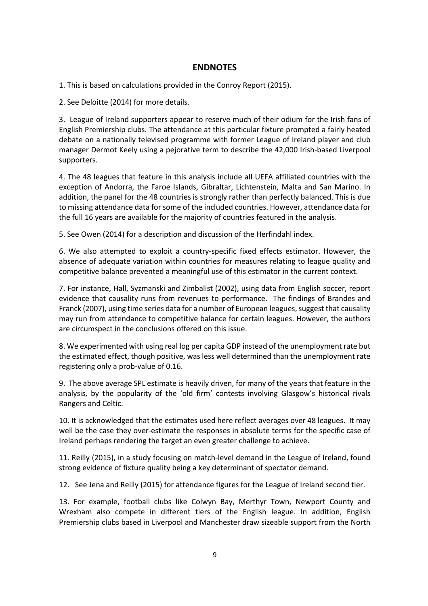# **ENDNOTES**

1. This is based on calculations provided in the Conroy Report (2015).

2. See Deloitte (2014) for more details.

3.League of Ireland supporters appear to reserve much of their odium for the Irish fans of English Premiership clubs. The attendance at this particular fixture prompted a fairly heated debate on a nationally televised programme with former League of Ireland player and club manager Dermot Keely using a pejorative term to describe the 42,000 Irish-based Liverpool supporters.

4. The 48 leagues that feature in this analysis include all UEFA affiliated countries with the exception of Andorra, the Faroe Islands, Gibraltar, Lichtenstein, Malta and San Marino. In addition, the panel for the 48 countries is strongly rather than perfectly balanced. This is due to missing attendance data for some of the included countries. However, attendance data for the full 16 years are available for the majority of countries featured in the analysis.

5. See Owen (2014) for a description and discussion of the Herfindahl index.

6. We also attempted to exploit a country-specific fixed effects estimator. However, the absence of adequate variation within countries for measures relating to league quality and competitive balance prevented a meaningful use of this estimator in the current context.

7. For instance, Hall, Syzmanski and Zimbalist (2002), using data from English soccer, report evidence that causality runs from revenues to performance. The findings of Brandes and Franck (2007), using time series data for a number of European leagues, suggest that causality may run from attendance to competitive balance for certain leagues. However, the authors are circumspect in the conclusions offered on this issue.

8. We experimented with using real log per capita GDP instead of the unemployment rate but the estimated effect, though positive, was less well determined than the unemployment rate registering only a prob-value of 0.16.

9.The above average SPL estimate is heavily driven, for many of the years that feature in the analysis, by the popularity of the 'old firm' contests involving Glasgow's historical rivals Rangers and Celtic.

10. It is acknowledged that the estimates used here reflect averages over 48 leagues. It may well be the case they over-estimate the responses in absolute terms for the specific case of Ireland perhaps rendering the target an even greater challenge to achieve.

11. Reilly (2015), in a study focusing on match-level demand in the League of Ireland, found strong evidence of fixture quality being a key determinant of spectator demand.

12.See Jena and Reilly (2015) for attendance figures for the League of Ireland second tier.

13. For example, football clubs like Colwyn Bay, Merthyr Town, Newport County and Wrexham also compete in different tiers of the English league. In addition, English Premiership clubs based in Liverpool and Manchester draw sizeable support from the North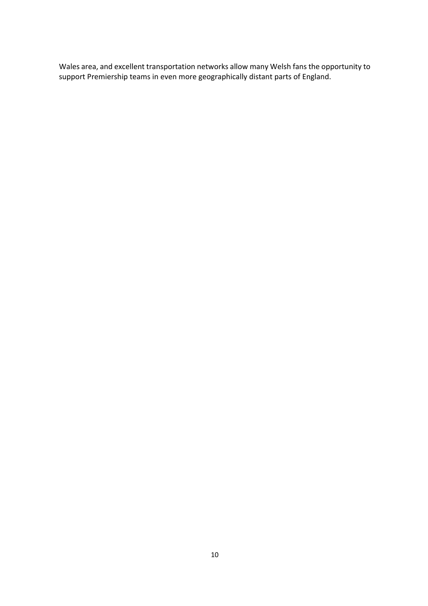Wales area, and excellent transportation networks allow many Welsh fans the opportunity to support Premiership teams in even more geographically distant parts of England.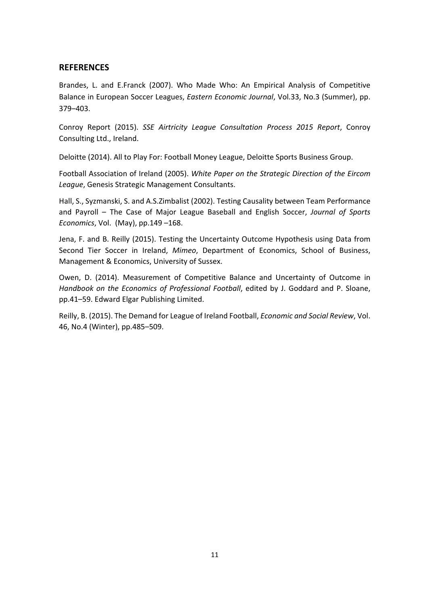# **REFERENCES**

Brandes, L. and E.Franck (2007). Who Made Who: An Empirical Analysis of Competitive Balance in European Soccer Leagues, *Eastern Economic Journal*, Vol.33, No.3 (Summer), pp. 379–403.

Conroy Report (2015). *SSE Airtricity League Consultation Process 2015 Report*, Conroy Consulting Ltd., Ireland.

Deloitte (2014). All to Play For: Football Money League, Deloitte Sports Business Group.

Football Association of Ireland (2005). *White Paper on the Strategic Direction of the Eircom League*, Genesis Strategic Management Consultants.

Hall, S., Syzmanski, S. and A.S.Zimbalist (2002). Testing Causality between Team Performance and Payroll – The Case of Major League Baseball and English Soccer, *Journal of Sports Economics*, Vol. (May), pp.149 –168.

Jena, F. and B. Reilly (2015). Testing the Uncertainty Outcome Hypothesis using Data from Second Tier Soccer in Ireland, *Mimeo*, Department of Economics, School of Business, Management & Economics, University of Sussex.

Owen, D. (2014). Measurement of Competitive Balance and Uncertainty of Outcome in *Handbook on the Economics of Professional Football*, edited by J. Goddard and P. Sloane, pp.41–59. Edward Elgar Publishing Limited.

Reilly, B. (2015). The Demand for League of Ireland Football, *Economic and Social Review*, Vol. 46, No.4 (Winter), pp.485–509.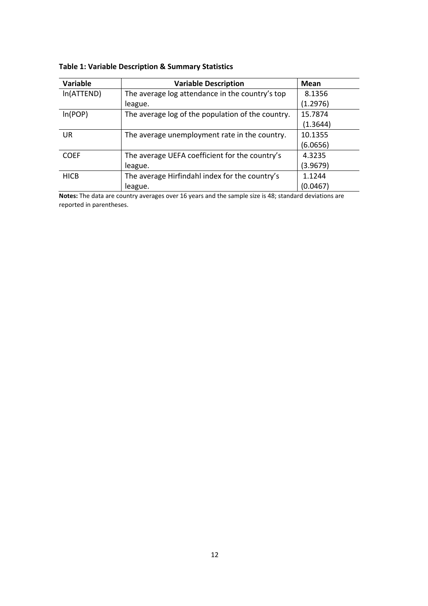| Variable    | <b>Variable Description</b>                       | Mean     |
|-------------|---------------------------------------------------|----------|
| In(ATTEND)  | The average log attendance in the country's top   | 8.1356   |
|             | league.                                           | (1.2976) |
| ln(POP)     | The average log of the population of the country. | 15.7874  |
|             |                                                   | (1.3644) |
| <b>UR</b>   | The average unemployment rate in the country.     | 10.1355  |
|             |                                                   | (6.0656) |
| <b>COEF</b> | The average UEFA coefficient for the country's    | 4.3235   |
|             | league.                                           | (3.9679) |
| <b>HICB</b> | The average Hirfindahl index for the country's    | 1.1244   |
|             | league.                                           | (0.0467) |

# **Table 1: Variable Description & Summary Statistics**

**Notes:** The data are country averages over 16 years and the sample size is 48; standard deviations are reported in parentheses.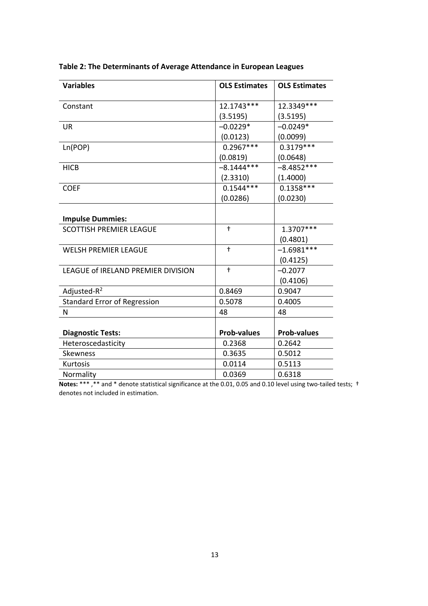| <b>Variables</b>                    | <b>OLS Estimates</b> | <b>OLS Estimates</b> |
|-------------------------------------|----------------------|----------------------|
| Constant                            | 12.1743***           | 12.3349 ***          |
|                                     | (3.5195)             | (3.5195)             |
| <b>UR</b>                           | $-0.0229*$           | $-0.0249*$           |
|                                     | (0.0123)             | (0.0099)             |
| Ln(POP)                             | $0.2967***$          | $0.3179***$          |
|                                     | (0.0819)             | (0.0648)             |
| <b>HICB</b>                         | $-8.1444***$         | $-8.4852***$         |
|                                     | (2.3310)             | (1.4000)             |
| <b>COEF</b>                         | $0.1544***$          | $0.1358***$          |
|                                     | (0.0286)             | (0.0230)             |
|                                     |                      |                      |
| <b>Impulse Dummies:</b>             |                      |                      |
| <b>SCOTTISH PREMIER LEAGUE</b>      | $\ddagger$           | 1.3707***            |
|                                     |                      | (0.4801)             |
| <b>WELSH PREMIER LEAGUE</b>         | $^\dagger$           | $-1.6981***$         |
|                                     |                      | (0.4125)             |
| LEAGUE of IRELAND PREMIER DIVISION  | $\ddagger$           | $-0.2077$            |
|                                     |                      | (0.4106)             |
| Adjusted-R <sup>2</sup>             | 0.8469               | 0.9047               |
| <b>Standard Error of Regression</b> | 0.5078               | 0.4005               |
| N                                   | 48                   | 48                   |
|                                     |                      |                      |
| <b>Diagnostic Tests:</b>            | <b>Prob-values</b>   | <b>Prob-values</b>   |
| Heteroscedasticity                  | 0.2368               | 0.2642               |
| <b>Skewness</b>                     | 0.3635               | 0.5012               |
| Kurtosis                            | 0.0114               | 0.5113               |
| Normality                           | 0.0369               | 0.6318               |

# **Table 2: The Determinants of Average Attendance in European Leagues**

**Notes:** \*\*\*, \*\* and \* denote statistical significance at the 0.01, 0.05 and 0.10 level using two-tailed tests; † denotes not included in estimation.